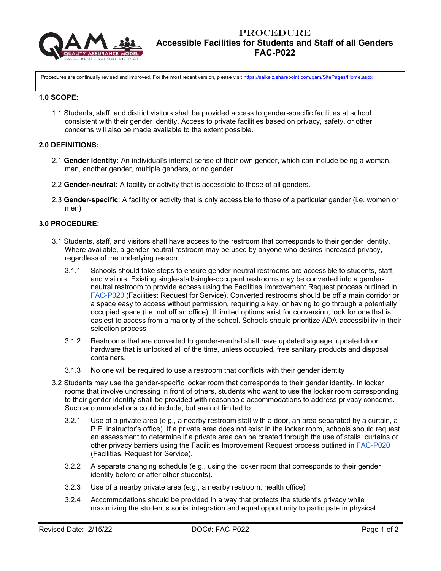

# **PROCEDURE Accessible Facilities for Students and Staff of all Genders FAC-P022**

Procedures are continually revised and improved. For the most recent version, please visit <https://salkeiz.sharepoint.com/qam/SitePages/Home.aspx>

#### **1.0 SCOPE:**

1.1 Students, staff, and district visitors shall be provided access to gender-specific facilities at school consistent with their gender identity. Access to private facilities based on privacy, safety, or other concerns will also be made available to the extent possible.

### **2.0 DEFINITIONS:**

- 2.1 **Gender identity:** An individual's internal sense of their own gender, which can include being a woman, man, another gender, multiple genders, or no gender.
- 2.2 **Gender-neutral:** A facility or activity that is accessible to those of all genders.
- 2.3 **Gender-specific**: A facility or activity that is only accessible to those of a particular gender (i.e. women or men).

## **3.0 PROCEDURE:**

- 3.1 Students, staff, and visitors shall have access to the restroom that corresponds to their gender identity. Where available, a gender-neutral restroom may be used by anyone who desires increased privacy, regardless of the underlying reason.
	- 3.1.1 Schools should take steps to ensure gender-neutral restrooms are accessible to students, staff, and visitors. Existing single-stall/single-occupant restrooms may be converted into a genderneutral restroom to provide access using the Facilities Improvement Request process outlined in [FAC-P020](https://salkeiz.sharepoint.com/qam/QAMDocuments/FAC-P020-Repair%20and%20Improvement%20Requests.pdf) (Facilities: Request for Service). Converted restrooms should be off a main corridor or a space easy to access without permission, requiring a key, or having to go through a potentially occupied space (i.e. not off an office). If limited options exist for conversion, look for one that is easiest to access from a majority of the school. Schools should prioritize ADA-accessibility in their selection process
	- 3.1.2 Restrooms that are converted to gender-neutral shall have updated signage, updated door hardware that is unlocked all of the time, unless occupied, free sanitary products and disposal containers.
	- 3.1.3 No one will be required to use a restroom that conflicts with their gender identity
- 3.2 Students may use the gender-specific locker room that corresponds to their gender identity. In locker rooms that involve undressing in front of others, students who want to use the locker room corresponding to their gender identity shall be provided with reasonable accommodations to address privacy concerns. Such accommodations could include, but are not limited to:
	- 3.2.1 Use of a private area (e.g., a nearby restroom stall with a door, an area separated by a curtain, a P.E. instructor's office). If a private area does not exist in the locker room, schools should request an assessment to determine if a private area can be created through the use of stalls, curtains or other privacy barriers using the Facilities Improvement Request process outlined in [FAC-P020](https://salkeiz.sharepoint.com/qam/QAMDocuments/FAC-P020-Repair%20and%20Improvement%20Requests.pdf) (Facilities: Request for Service).
	- 3.2.2 A separate changing schedule (e.g., using the locker room that corresponds to their gender identity before or after other students).
	- 3.2.3 Use of a nearby private area (e.g., a nearby restroom, health office)
	- 3.2.4 Accommodations should be provided in a way that protects the student's privacy while maximizing the student's social integration and equal opportunity to participate in physical